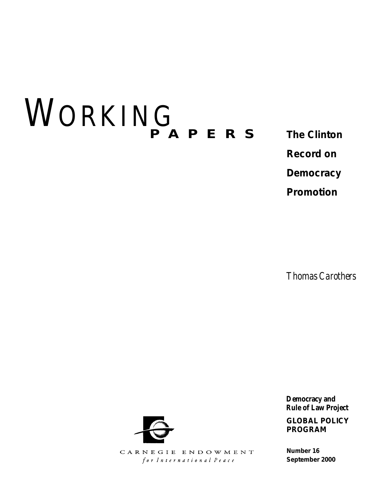# WORKING **PAPERS**

**The Clinton Record on Democracy Promotion**

*Thomas Carothers*

CARNEGIE ENDOWMENT for International Peace

**Democracy and Rule of Law Project**

**GLOBAL POLICY PROGRAM**

**Number 16 September 2000**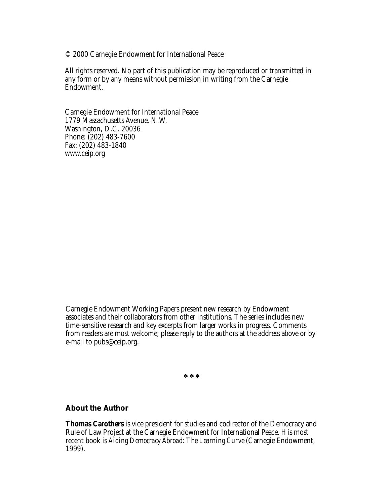© 2000 Carnegie Endowment for International Peace

All rights reserved. No part of this publication may be reproduced or transmitted in any form or by any means without permission in writing from the Carnegie Endowment.

Carnegie Endowment for International Peace 1779 Massachusetts Avenue, N.W. Washington, D.C. 20036 Phone: (202) 483-7600 Fax: (202) 483-1840 www.ceip.org

Carnegie Endowment Working Papers present new research by Endowment associates and their collaborators from other institutions. The series includes new time-sensitive research and key excerpts from larger works in progress. Comments from readers are most welcome; please reply to the authors at the address above or by e-mail to pubs@ceip.org.

✽✽✽

## **About the Author**

**Thomas Carothers** is vice president for studies and codirector of the Democracy and Rule of Law Project at the Carnegie Endowment for International Peace. His most recent book is *Aiding Democracy Abroad: The Learning Curve* (Carnegie Endowment, 1999).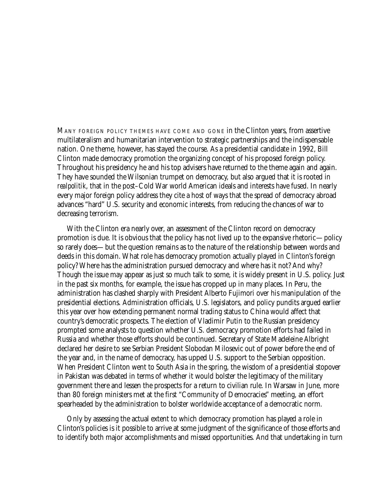MANY FOREIGN POLICY THEMES HAVE COME AND GONE in the Clinton years, from assertive multilateralism and humanitarian intervention to strategic partnerships and the indispensable nation. One theme, however, has stayed the course. As a presidential candidate in 1992, Bill Clinton made democracy promotion the organizing concept of his proposed foreign policy. Throughout his presidency he and his top advisers have returned to the theme again and again. They have sounded the Wilsonian trumpet on democracy, but also argued that it is rooted in *realpolitik*, that in the post–Cold War world American ideals and interests have fused. In nearly every major foreign policy address they cite a host of ways that the spread of democracy abroad advances "hard" U.S. security and economic interests, from reducing the chances of war to decreasing terrorism.

With the Clinton era nearly over, an assessment of the Clinton record on democracy promotion is due. It is obvious that the policy has not lived up to the expansive rhetoric—policy so rarely does—but the question remains as to the nature of the relationship between words and deeds in this domain. What role has democracy promotion actually played in Clinton's foreign policy? Where has the administration pursued democracy and where has it not? And why? Though the issue may appear as just so much talk to some, it is widely present in U.S. policy. Just in the past six months, for example, the issue has cropped up in many places. In Peru, the administration has clashed sharply with President Alberto Fujimori over his manipulation of the presidential elections. Administration officials, U.S. legislators, and policy pundits argued earlier this year over how extending permanent normal trading status to China would affect that country's democratic prospects. The election of Vladimir Putin to the Russian presidency prompted some analysts to question whether U.S. democracy promotion efforts had failed in Russia and whether those efforts should be continued. Secretary of State Madeleine Albright declared her desire to see Serbian President Slobodan Milosevic out of power before the end of the year and, in the name of democracy, has upped U.S. support to the Serbian opposition. When President Clinton went to South Asia in the spring, the wisdom of a presidential stopover in Pakistan was debated in terms of whether it would bolster the legitimacy of the military government there and lessen the prospects for a return to civilian rule. In Warsaw in June, more than 80 foreign ministers met at the first "Community of Democracies" meeting, an effort spearheaded by the administration to bolster worldwide acceptance of a democratic norm.

Only by assessing the actual extent to which democracy promotion has played a role in Clinton's policies is it possible to arrive at some judgment of the significance of those efforts and to identify both major accomplishments and missed opportunities. And that undertaking in turn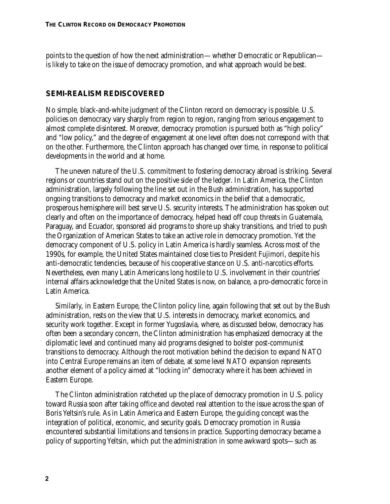points to the question of how the next administration—whether Democratic or Republican is likely to take on the issue of democracy promotion, and what approach would be best.

## **SEMI-REALISM REDISCOVERED**

No simple, black-and-white judgment of the Clinton record on democracy is possible. U.S. policies on democracy vary sharply from region to region, ranging from serious engagement to almost complete disinterest. Moreover, democracy promotion is pursued both as "high policy" and "low policy," and the degree of engagement at one level often does not correspond with that on the other. Furthermore, the Clinton approach has changed over time, in response to political developments in the world and at home.

The uneven nature of the U.S. commitment to fostering democracy abroad is striking. Several regions or countries stand out on the positive side of the ledger. In Latin America, the Clinton administration, largely following the line set out in the Bush administration, has supported ongoing transitions to democracy and market economics in the belief that a democratic, prosperous hemisphere will best serve U.S. security interests. The administration has spoken out clearly and often on the importance of democracy, helped head off coup threats in Guatemala, Paraguay, and Ecuador, sponsored aid programs to shore up shaky transitions, and tried to push the Organization of American States to take an active role in democracy promotion. Yet the democracy component of U.S. policy in Latin America is hardly seamless. Across most of the 1990s, for example, the United States maintained close ties to President Fujimori, despite his anti-democratic tendencies, because of his cooperative stance on U.S. anti-narcotics efforts. Nevertheless, even many Latin Americans long hostile to U.S. involvement in their countries' internal affairs acknowledge that the United States is now, on balance, a pro-democratic force in Latin America.

Similarly, in Eastern Europe, the Clinton policy line, again following that set out by the Bush administration, rests on the view that U.S. interests in democracy, market economics, and security work together. Except in former Yugoslavia, where, as discussed below, democracy has often been a secondary concern, the Clinton administration has emphasized democracy at the diplomatic level and continued many aid programs designed to bolster post-communist transitions to democracy. Although the root motivation behind the decision to expand NATO into Central Europe remains an item of debate, at some level NATO expansion represents another element of a policy aimed at "locking in" democracy where it has been achieved in Eastern Europe.

The Clinton administration ratcheted up the place of democracy promotion in U.S. policy toward Russia soon after taking office and devoted real attention to the issue across the span of Boris Yeltsin's rule. As in Latin America and Eastern Europe, the guiding concept was the integration of political, economic, and security goals. Democracy promotion in Russia encountered substantial limitations and tensions in practice. Supporting democracy became a policy of supporting Yeltsin, which put the administration in some awkward spots—such as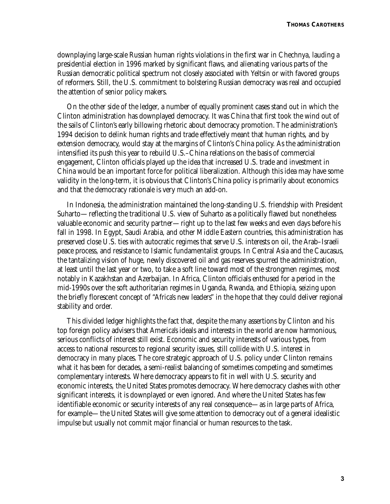downplaying large-scale Russian human rights violations in the first war in Chechnya, lauding a presidential election in 1996 marked by significant flaws, and alienating various parts of the Russian democratic political spectrum not closely associated with Yeltsin or with favored groups of reformers. Still, the U.S. commitment to bolstering Russian democracy was real and occupied the attention of senior policy makers.

On the other side of the ledger, a number of equally prominent cases stand out in which the Clinton administration has downplayed democracy. It was China that first took the wind out of the sails of Clinton's early billowing rhetoric about democracy promotion. The administration's 1994 decision to delink human rights and trade effectively meant that human rights, and by extension democracy, would stay at the margins of Clinton's China policy. As the administration intensified its push this year to rebuild U.S.–China relations on the basis of commercial engagement, Clinton officials played up the idea that increased U.S. trade and investment in China would be an important force for political liberalization. Although this idea may have some validity in the long-term, it is obvious that Clinton's China policy is primarily about economics and that the democracy rationale is very much an add-on.

In Indonesia, the administration maintained the long-standing U.S. friendship with President Suharto—reflecting the traditional U.S. view of Suharto as a politically flawed but nonetheless valuable economic and security partner—right up to the last few weeks and even days before his fall in 1998. In Egypt, Saudi Arabia, and other Middle Eastern countries, this administration has preserved close U.S. ties with autocratic regimes that serve U.S. interests on oil, the Arab–Israeli peace process, and resistance to Islamic fundamentalist groups. In Central Asia and the Caucasus, the tantalizing vision of huge, newly discovered oil and gas reserves spurred the administration, at least until the last year or two, to take a soft line toward most of the strongmen regimes, most notably in Kazakhstan and Azerbaijan. In Africa, Clinton officials enthused for a period in the mid-1990s over the soft authoritarian regimes in Uganda, Rwanda, and Ethiopia, seizing upon the briefly florescent concept of "Africa's new leaders" in the hope that they could deliver regional stability and order.

This divided ledger highlights the fact that, despite the many assertions by Clinton and his top foreign policy advisers that America's ideals and interests in the world are now harmonious, serious conflicts of interest still exist. Economic and security interests of various types, from access to national resources to regional security issues, still collide with U.S. interest in democracy in many places. The core strategic approach of U.S. policy under Clinton remains what it has been for decades, a semi-realist balancing of sometimes competing and sometimes complementary interests. Where democracy appears to fit in well with U.S. security and economic interests, the United States promotes democracy. Where democracy clashes with other significant interests, it is downplayed or even ignored. And where the United States has few identifiable economic or security interests of any real consequence—as in large parts of Africa, for example—the United States will give some attention to democracy out of a general idealistic impulse but usually not commit major financial or human resources to the task.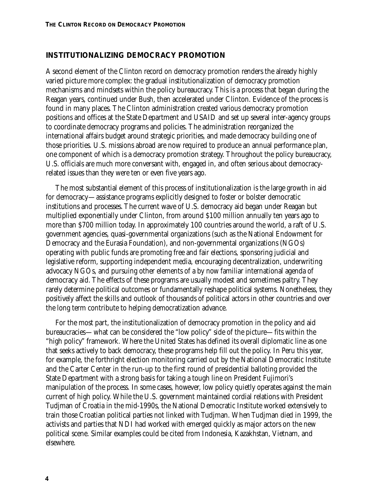## **INSTITUTIONALIZING DEMOCRACY PROMOTION**

A second element of the Clinton record on democracy promotion renders the already highly varied picture more complex: the gradual institutionalization of democracy promotion mechanisms and mindsets within the policy bureaucracy. This is a process that began during the Reagan years, continued under Bush, then accelerated under Clinton. Evidence of the process is found in many places. The Clinton administration created various democracy promotion positions and offices at the State Department and USAID and set up several inter-agency groups to coordinate democracy programs and policies. The administration reorganized the international affairs budget around strategic priorities, and made democracy building one of those priorities. U.S. missions abroad are now required to produce an annual performance plan, one component of which is a democracy promotion strategy. Throughout the policy bureaucracy, U.S. officials are much more conversant with, engaged in, and often serious about democracyrelated issues than they were ten or even five years ago.

The most substantial element of this process of institutionalization is the large growth in aid for democracy—assistance programs explicitly designed to foster or bolster democratic institutions and processes. The current wave of U.S. democracy aid began under Reagan but multiplied exponentially under Clinton, from around \$100 million annually ten years ago to more than \$700 million today. In approximately 100 countries around the world, a raft of U.S. government agencies, quasi-governmental organizations (such as the National Endowment for Democracy and the Eurasia Foundation), and non-governmental organizations (NGOs) operating with public funds are promoting free and fair elections, sponsoring judicial and legislative reform, supporting independent media, encouraging decentralization, underwriting advocacy NGOs, and pursuing other elements of a by now familiar international agenda of democracy aid. The effects of these programs are usually modest and sometimes paltry. They rarely determine political outcomes or fundamentally reshape political systems. Nonetheless, they positively affect the skills and outlook of thousands of political actors in other countries and over the long term contribute to helping democratization advance.

For the most part, the institutionalization of democracy promotion in the policy and aid bureaucracies—what can be considered the "low policy" side of the picture—fits within the "high policy" framework. Where the United States has defined its overall diplomatic line as one that seeks actively to back democracy, these programs help fill out the policy. In Peru this year, for example, the forthright election monitoring carried out by the National Democratic Institute and the Carter Center in the run-up to the first round of presidential balloting provided the State Department with a strong basis for taking a tough line on President Fujimori's manipulation of the process. In some cases, however, low policy quietly operates against the main current of high policy. While the U.S. government maintained cordial relations with President Tudjman of Croatia in the mid-1990s, the National Democratic Institute worked extensively to train those Croatian political parties not linked with Tudjman. When Tudjman died in 1999, the activists and parties that NDI had worked with emerged quickly as major actors on the new political scene. Similar examples could be cited from Indonesia, Kazakhstan, Vietnam, and elsewhere.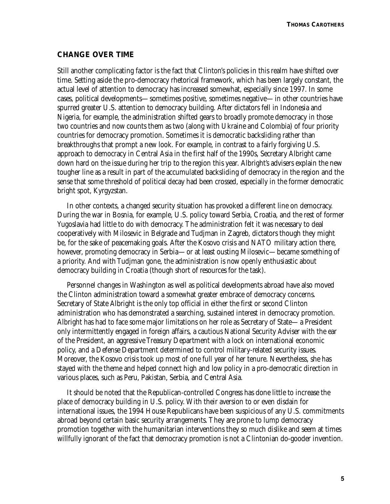**THOMAS CAROTHERS**

#### **CHANGE OVER TIME**

Still another complicating factor is the fact that Clinton's policies in this realm have shifted over time. Setting aside the pro-democracy rhetorical framework, which has been largely constant, the actual level of attention to democracy has increased somewhat, especially since 1997. In some cases, political developments—sometimes positive, sometimes negative—in other countries have spurred greater U.S. attention to democracy building. After dictators fell in Indonesia and Nigeria, for example, the administration shifted gears to broadly promote democracy in those two countries and now counts them as two (along with Ukraine and Colombia) of four priority countries for democracy promotion. Sometimes it is democratic backsliding rather than breakthroughs that prompt a new look. For example, in contrast to a fairly forgiving U.S. approach to democracy in Central Asia in the first half of the 1990s, Secretary Albright came down hard on the issue during her trip to the region this year. Albright's advisers explain the new tougher line as a result in part of the accumulated backsliding of democracy in the region and the sense that some threshold of political decay had been crossed, especially in the former democratic bright spot, Kyrgyzstan.

In other contexts, a changed security situation has provoked a different line on democracy. During the war in Bosnia, for example, U.S. policy toward Serbia, Croatia, and the rest of former Yugoslavia had little to do with democracy. The administration felt it was necessary to deal cooperatively with Milosevic in Belgrade and Tudjman in Zagreb, dictators though they might be, for the sake of peacemaking goals. After the Kosovo crisis and NATO military action there, however, promoting democracy in Serbia—or at least ousting Milosevic—became something of a priority. And with Tudjman gone, the administration is now openly enthusiastic about democracy building in Croatia (though short of resources for the task).

Personnel changes in Washington as well as political developments abroad have also moved the Clinton administration toward a somewhat greater embrace of democracy concerns. Secretary of State Albright is the only top official in either the first or second Clinton administration who has demonstrated a searching, sustained interest in democracy promotion. Albright has had to face some major limitations on her role as Secretary of State—a President only intermittently engaged in foreign affairs, a cautious National Security Adviser with the ear of the President, an aggressive Treasury Department with a lock on international economic policy, and a Defense Department determined to control military-related security issues. Moreover, the Kosovo crisis took up most of one full year of her tenure. Nevertheless, she has stayed with the theme and helped connect high and low policy in a pro-democratic direction in various places, such as Peru, Pakistan, Serbia, and Central Asia.

It should be noted that the Republican-controlled Congress has done little to increase the place of democracy building in U.S. policy. With their aversion to or even disdain for international issues, the 1994 House Republicans have been suspicious of any U.S. commitments abroad beyond certain basic security arrangements. They are prone to lump democracy promotion together with the humanitarian interventions they so much dislike and seem at times willfully ignorant of the fact that democracy promotion is not a Clintonian do-gooder invention.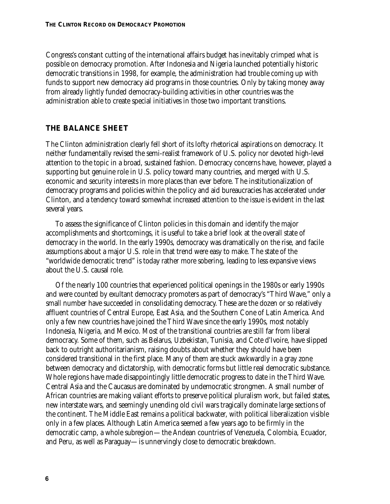Congress's constant cutting of the international affairs budget has inevitably crimped what is possible on democracy promotion. After Indonesia and Nigeria launched potentially historic democratic transitions in 1998, for example, the administration had trouble coming up with funds to support new democracy aid programs in those countries. Only by taking money away from already lightly funded democracy-building activities in other countries was the administration able to create special initiatives in those two important transitions.

## **THE BALANCE SHEET**

The Clinton administration clearly fell short of its lofty rhetorical aspirations on democracy. It neither fundamentally revised the semi-realist framework of U.S. policy nor devoted high-level attention to the topic in a broad, sustained fashion. Democracy concerns have, however, played a supporting but genuine role in U.S. policy toward many countries, and merged with U.S. economic and security interests in more places than ever before. The institutionalization of democracy programs and policies within the policy and aid bureaucracies has accelerated under Clinton, and a tendency toward somewhat increased attention to the issue is evident in the last several years.

To assess the significance of Clinton policies in this domain and identify the major accomplishments and shortcomings, it is useful to take a brief look at the overall state of democracy in the world. In the early 1990s, democracy was dramatically on the rise, and facile assumptions about a major U.S. role in that trend were easy to make. The state of the "worldwide democratic trend" is today rather more sobering, leading to less expansive views about the U.S. causal role.

Of the nearly 100 countries that experienced political openings in the 1980s or early 1990s and were counted by exultant democracy promoters as part of democracy's "Third Wave," only a small number have succeeded in consolidating democracy. These are the dozen or so relatively affluent countries of Central Europe, East Asia, and the Southern Cone of Latin America. And only a few new countries have joined the Third Wave since the early 1990s, most notably Indonesia, Nigeria, and Mexico. Most of the transitional countries are still far from liberal democracy. Some of them, such as Belarus, Uzbekistan, Tunisia, and Cote d'Ivoire, have slipped back to outright authoritarianism, raising doubts about whether they should have been considered transitional in the first place. Many of them are stuck awkwardly in a gray zone between democracy and dictatorship, with democratic forms but little real democratic substance. Whole regions have made disappointingly little democratic progress to date in the Third Wave. Central Asia and the Caucasus are dominated by undemocratic strongmen. A small number of African countries are making valiant efforts to preserve political pluralism work, but failed states, new interstate wars, and seemingly unending old civil wars tragically dominate large sections of the continent. The Middle East remains a political backwater, with political liberalization visible only in a few places. Although Latin America seemed a few years ago to be firmly in the democratic camp, a whole subregion—the Andean countries of Venezuela, Colombia, Ecuador, and Peru, as well as Paraguay—is unnervingly close to democratic breakdown.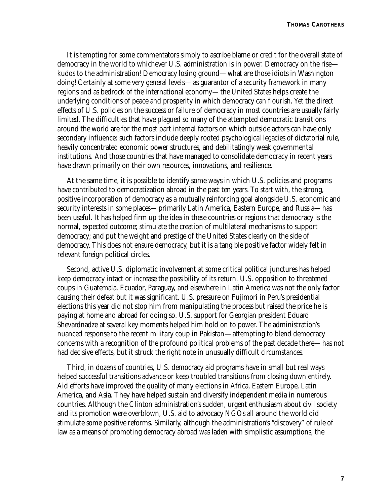It is tempting for some commentators simply to ascribe blame or credit for the overall state of democracy in the world to whichever U.S. administration is in power. Democracy on the rise kudos to the administration! Democracy losing ground—what are those idiots in Washington doing! Certainly at some very general levels—as guarantor of a security framework in many regions and as bedrock of the international economy—the United States helps create the underlying conditions of peace and prosperity in which democracy can flourish. Yet the direct effects of U.S. policies on the success or failure of democracy in most countries are usually fairly limited. The difficulties that have plagued so many of the attempted democratic transitions around the world are for the most part internal factors on which outside actors can have only secondary influence: such factors include deeply rooted psychological legacies of dictatorial rule, heavily concentrated economic power structures, and debilitatingly weak governmental institutions. And those countries that have managed to consolidate democracy in recent years have drawn primarily on their own resources, innovations, and resilience.

At the same time, it is possible to identify some ways in which U.S. policies and programs have contributed to democratization abroad in the past ten years. To start with, the strong, positive incorporation of democracy as a mutually reinforcing goal alongside U.S. economic and security interests in some places—primarily Latin America, Eastern Europe, and Russia—has been useful. It has helped firm up the idea in these countries or regions that democracy is the normal, expected outcome; stimulate the creation of multilateral mechanisms to support democracy; and put the weight and prestige of the United States clearly on the side of democracy. This does not ensure democracy, but it is a tangible positive factor widely felt in relevant foreign political circles.

Second, active U.S. diplomatic involvement at some critical political junctures has helped keep democracy intact or increase the possibility of its return. U.S. opposition to threatened coups in Guatemala, Ecuador, Paraguay, and elsewhere in Latin America was not the only factor causing their defeat but it was significant. U.S. pressure on Fujimori in Peru's presidential elections this year did not stop him from manipulating the process but raised the price he is paying at home and abroad for doing so. U.S. support for Georgian president Eduard Shevardnadze at several key moments helped him hold on to power. The administration's nuanced response to the recent military coup in Pakistan—attempting to blend democracy concerns with a recognition of the profound political problems of the past decade there—has not had decisive effects, but it struck the right note in unusually difficult circumstances.

Third, in dozens of countries, U.S. democracy aid programs have in small but real ways helped successful transitions advance or keep troubled transitions from closing down entirely. Aid efforts have improved the quality of many elections in Africa, Eastern Europe, Latin America, and Asia. They have helped sustain and diversify independent media in numerous countries. Although the Clinton administration's sudden, urgent enthusiasm about civil society and its promotion were overblown, U.S. aid to advocacy NGOs all around the world did stimulate some positive reforms. Similarly, although the administration's "discovery" of rule of law as a means of promoting democracy abroad was laden with simplistic assumptions, the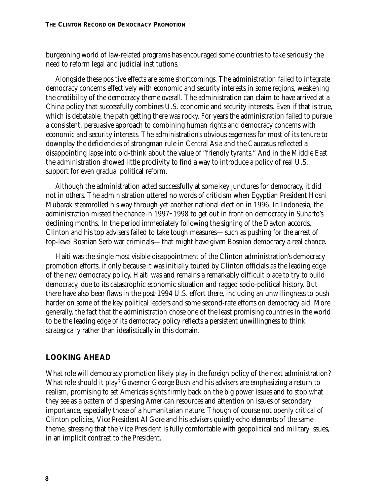burgeoning world of law-related programs has encouraged some countries to take seriously the need to reform legal and judicial institutions.

Alongside these positive effects are some shortcomings. The administration failed to integrate democracy concerns effectively with economic and security interests in some regions, weakening the credibility of the democracy theme overall. The administration can claim to have arrived at a China policy that successfully combines U.S. economic and security interests. Even if that is true, which is debatable, the path getting there was rocky. For years the administration failed to pursue a consistent, persuasive approach to combining human rights and democracy concerns with economic and security interests. The administration's obvious eagerness for most of its tenure to downplay the deficiencies of strongman rule in Central Asia and the Caucasus reflected a disappointing lapse into old-think about the value of "friendly tyrants." And in the Middle East the administration showed little proclivity to find a way to introduce a policy of real U.S. support for even gradual political reform.

Although the administration acted successfully at some key junctures for democracy, it did not in others. The administration uttered no words of criticism when Egyptian President Hosni Mubarak steamrolled his way through yet another national election in 1996. In Indonesia, the administration missed the chance in 1997–1998 to get out in front on democracy in Suharto's declining months. In the period immediately following the signing of the Dayton accords, Clinton and his top advisers failed to take tough measures—such as pushing for the arrest of top-level Bosnian Serb war criminals—that might have given Bosnian democracy a real chance.

Haiti was the single most visible disappointment of the Clinton administration's democracy promotion efforts, if only because it was initially touted by Clinton officials as the leading edge of the new democracy policy. Haiti was and remains a remarkably difficult place to try to build democracy, due to its catastrophic economic situation and ragged socio-political history. But there have also been flaws in the post-1994 U.S. effort there, including an unwillingness to push harder on some of the key political leaders and some second-rate efforts on democracy aid. More generally, the fact that the administration chose one of the least promising countries in the world to be the leading edge of its democracy policy reflects a persistent unwillingness to think strategically rather than idealistically in this domain.

## **LOOKING AHEAD**

What role will democracy promotion likely play in the foreign policy of the next administration? What role should it play? Governor George Bush and his advisers are emphasizing a return to realism, promising to set America's sights firmly back on the big power issues and to stop what they see as a pattern of dispersing American resources and attention on issues of secondary importance, especially those of a humanitarian nature. Though of course not openly critical of Clinton policies, Vice President Al Gore and his advisers quietly echo elements of the same theme, stressing that the Vice President is fully comfortable with geopolitical and military issues, in an implicit contrast to the President.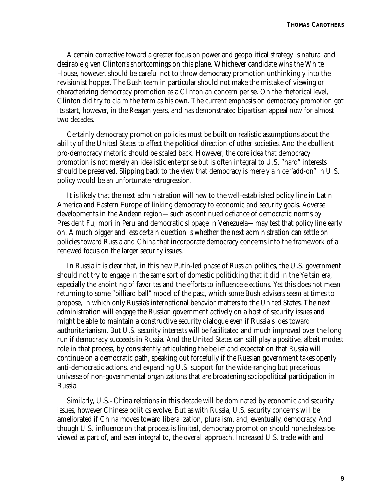A certain corrective toward a greater focus on power and geopolitical strategy is natural and desirable given Clinton's shortcomings on this plane. Whichever candidate wins the White House, however, should be careful not to throw democracy promotion unthinkingly into the revisionist hopper. The Bush team in particular should not make the mistake of viewing or characterizing democracy promotion as a Clintonian concern per se. On the rhetorical level, Clinton did try to claim the term as his own. The current emphasis on democracy promotion got its start, however, in the Reagan years, and has demonstrated bipartisan appeal now for almost two decades.

Certainly democracy promotion policies must be built on realistic assumptions about the ability of the United States to affect the political direction of other societies. And the ebullient pro-democracy rhetoric should be scaled back. However, the core idea that democracy promotion is not merely an idealistic enterprise but is often integral to U.S. "hard" interests should be preserved. Slipping back to the view that democracy is merely a nice "add-on" in U.S. policy would be an unfortunate retrogression.

It is likely that the next administration will hew to the well-established policy line in Latin America and Eastern Europe of linking democracy to economic and security goals. Adverse developments in the Andean region—such as continued defiance of democratic norms by President Fujimori in Peru and democratic slippage in Venezuela—may test that policy line early on. A much bigger and less certain question is whether the next administration can settle on policies toward Russia and China that incorporate democracy concerns into the framework of a renewed focus on the larger security issues.

In Russia it is clear that, in this new Putin-led phase of Russian politics, the U.S. government should not try to engage in the same sort of domestic politicking that it did in the Yeltsin era, especially the anointing of favorites and the efforts to influence elections. Yet this does not mean returning to some "billiard ball" model of the past, which some Bush advisers seem at times to propose, in which only Russia's international behavior matters to the United States. The next administration will engage the Russian government actively on a host of security issues and might be able to maintain a constructive security dialogue even if Russia slides toward authoritarianism. But U.S. security interests will be facilitated and much improved over the long run if democracy succeeds in Russia. And the United States can still play a positive, albeit modest role in that process, by consistently articulating the belief and expectation that Russia will continue on a democratic path, speaking out forcefully if the Russian government takes openly anti-democratic actions, and expanding U.S. support for the wide-ranging but precarious universe of non-governmental organizations that are broadening sociopolitical participation in Russia.

Similarly, U.S.–China relations in this decade will be dominated by economic and security issues, however Chinese politics evolve. But as with Russia, U.S. security concerns will be ameliorated if China moves toward liberalization, pluralism, and, eventually, democracy. And though U.S. influence on that process is limited, democracy promotion should nonetheless be viewed as part of, and even integral to, the overall approach. Increased U.S. trade with and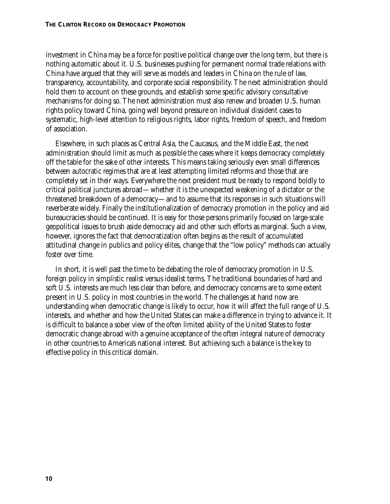investment in China may be a force for positive political change over the long term, but there is nothing automatic about it. U.S. businesses pushing for permanent normal trade relations with China have argued that they will serve as models and leaders in China on the rule of law, transparency, accountability, and corporate social responsibility. The next administration should hold them to account on these grounds, and establish some specific advisory consultative mechanisms for doing so. The next administration must also renew and broaden U.S. human rights policy toward China, going well beyond pressure on individual dissident cases to systematic, high-level attention to religious rights, labor rights, freedom of speech, and freedom of association.

Elsewhere, in such places as Central Asia, the Caucasus, and the Middle East, the next administration should limit as much as possible the cases where it keeps democracy completely off the table for the sake of other interests. This means taking seriously even small differences between autocratic regimes that are at least attempting limited reforms and those that are completely set in their ways. Everywhere the next president must be ready to respond boldly to critical political junctures abroad—whether it is the unexpected weakening of a dictator or the threatened breakdown of a democracy—and to assume that its responses in such situations will reverberate widely. Finally the institutionalization of democracy promotion in the policy and aid bureaucracies should be continued. It is easy for those persons primarily focused on large-scale geopolitical issues to brush aside democracy aid and other such efforts as marginal. Such a view, however, ignores the fact that democratization often begins as the result of accumulated attitudinal change in publics and policy elites, change that the "low policy" methods can actually foster over time.

In short, it is well past the time to be debating the role of democracy promotion in U.S. foreign policy in simplistic realist versus idealist terms. The traditional boundaries of hard and soft U.S. interests are much less clear than before, and democracy concerns are to some extent present in U.S. policy in most countries in the world. The challenges at hand now are understanding when democratic change is likely to occur, how it will affect the full range of U.S. interests, and whether and how the United States can make a difference in trying to advance it. It is difficult to balance a sober view of the often limited ability of the United States to foster democratic change abroad with a genuine acceptance of the often integral nature of democracy in other countries to America's national interest. But achieving such a balance is the key to effective policy in this critical domain.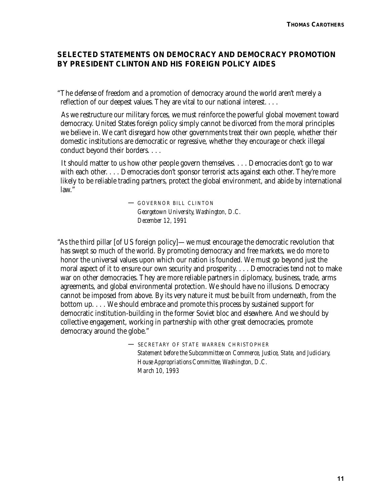# **SELECTED STATEMENTS ON DEMOCRACY AND DEMOCRACY PROMOTION BY PRESIDENT CLINTON AND HIS FOREIGN POLICY AIDES**

"The defense of freedom and a promotion of democracy around the world aren't merely a reflection of our deepest values. They are vital to our national interest. . . .

As we restructure our military forces, we must reinforce the powerful global movement toward democracy. United States foreign policy simply cannot be divorced from the moral principles we believe in. We can't disregard how other governments treat their own people, whether their domestic institutions are democratic or regressive, whether they encourage or check illegal conduct beyond their borders. . . .

It should matter to us how other people govern themselves. . . . Democracies don't go to war with each other. . . . Democracies don't sponsor terrorist acts against each other. They're more likely to be reliable trading partners, protect the global environment, and abide by international law."

> — GOVERNOR BILL CLINTON *Georgetown University, Washington, D.C. December 12, 1991*

"As the third pillar [of US foreign policy]—we must encourage the democratic revolution that has swept so much of the world. By promoting democracy and free markets, we do more to honor the universal values upon which our nation is founded. We must go beyond just the moral aspect of it to ensure our own security and prosperity. . . . Democracies tend not to make war on other democracies. They are more reliable partners in diplomacy, business, trade, arms agreements, and global environmental protection. We should have no illusions. Democracy cannot be imposed from above. By its very nature it must be built from underneath, from the bottom up. . . . We should embrace and promote this process by sustained support for democratic institution-building in the former Soviet bloc and elsewhere. And we should by collective engagement, working in partnership with other great democracies, promote democracy around the globe."

> — SECRETARY OF STATE WARREN CHRISTOPHER *Statement before the Subcommittee on Commerce, Justice, State, and Judiciary, House Appropriations Committee, Washington, D.C. March 10, 1993*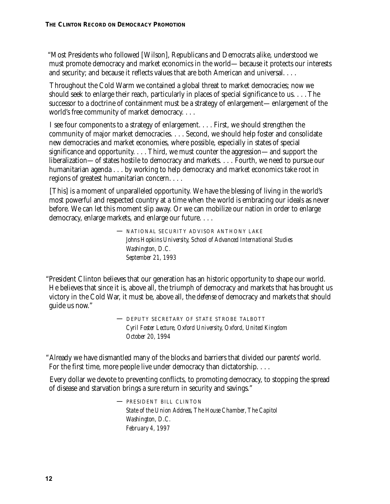"Most Presidents who followed [Wilson], Republicans and Democrats alike, understood we must promote democracy and market economics in the world—because it protects our interests and security; and because it reflects values that are both American and universal. . . .

Throughout the Cold Warm we contained a global threat to market democracies; now we should seek to enlarge their reach, particularly in places of special significance to us. . . . The successor to a doctrine of containment must be a strategy of enlargement—enlargement of the world's free community of market democracy. . . .

I see four components to a strategy of enlargement. . . . First, we should strengthen the community of major market democracies. . . . Second, we should help foster and consolidate new democracies and market economies, where possible, especially in states of special significance and opportunity. . . . Third, we must counter the aggression—and support the liberalization—of states hostile to democracy and markets. . . . Fourth, we need to pursue our humanitarian agenda . . . by working to help democracy and market economics take root in regions of greatest humanitarian concern. . . .

[This] is a moment of unparalleled opportunity. We have the blessing of living in the world's most powerful and respected country at a time when the world is embracing our ideals as never before. We can let this moment slip away. Or we can mobilize our nation in order to enlarge democracy, enlarge markets, and enlarge our future. . . .

> — NATIONAL SECURITY ADVISOR ANTHONY LAKE *Johns Hopkins University, School of Advanced International Studies Washington, D.C. September 21, 1993*

"President Clinton believes that our generation has an historic opportunity to shape our world. He believes that since it is, above all, the triumph of democracy and markets that has brought us victory in the Cold War, it must be, above all, the *defense* of democracy and markets that should guide us now."

> — DEPUTY SECRETARY OF STATE STROBE TALBOTT *Cyril Foster Lecture, Oxford University, Oxford, United Kingdom October 20, 1994*

"Already we have dismantled many of the blocks and barriers that divided our parents' world. For the first time, more people live under democracy than dictatorship. . . .

Every dollar we devote to preventing conflicts, to promoting democracy, to stopping the spread of disease and starvation brings a sure return in security and savings."

> — PRESIDENT BILL CLINTON *State of the Union Address, The House Chamber, The Capitol Washington, D.C. February 4, 1997*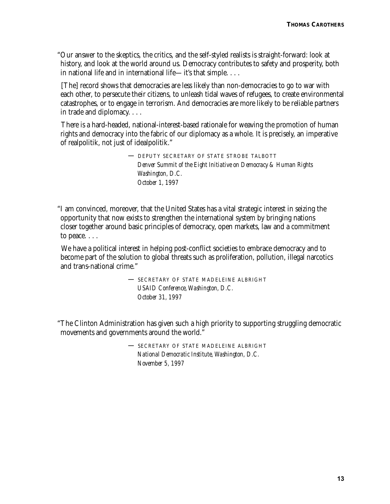"Our answer to the skeptics, the critics, and the self-styled realists is straight-forward: look at history, and look at the world around us. Democracy contributes to safety and prosperity, both in national life and in international life—it's that simple. . . .

[The] record shows that democracies are less likely than non-democracies to go to war with each other, to persecute their citizens, to unleash tidal waves of refugees, to create environmental catastrophes, or to engage in terrorism. And democracies are more likely to be reliable partners in trade and diplomacy. . . .

There is a hard-headed, national-interest-based rationale for weaving the promotion of human rights and democracy into the fabric of our diplomacy as a whole. It is precisely, an imperative of realpolitik, not just of idealpolitik."

> — DEPUTY SECRETARY OF STATE STROBE TALBOTT *Denver Summit of the Eight Initiative on Democracy & Human Rights Washington, D.C. October 1, 1997*

"I am convinced, moreover, that the United States has a vital strategic interest in seizing the opportunity that now exists to strengthen the international system by bringing nations closer together around basic principles of democracy, open markets, law and a commitment to peace. . . .

We have a political interest in helping post-conflict societies to embrace democracy and to become part of the solution to global threats such as proliferation, pollution, illegal narcotics and trans-national crime."

> — SECRETARY OF STATE MADELEINE ALBRIGHT *USAID Conference, Washington, D.C. October 31, 1997*

"The Clinton Administration has given such a high priority to supporting struggling democratic movements and governments around the world."

> — SECRETARY OF STATE MADELEINE ALBRIGHT *National Democratic Institute, Washington, D.C. November 5, 1997*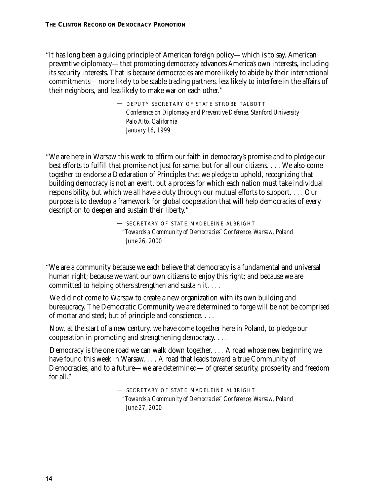"It has long been a guiding principle of American foreign policy—which is to say, American preventive diplomacy—that promoting democracy advances America's own interests, including its security interests. That is because democracies are more likely to abide by their international commitments—more likely to be stable trading partners, less likely to interfere in the affairs of their neighbors, and less likely to make war on each other."

> — DEPUTY SECRETARY OF STATE STROBE TALBOTT *Conference on Diplomacy and Preventive Defense, Stanford University Palo Alto, California January 16, 1999*

"We are here in Warsaw this week to affirm our faith in democracy's promise and to pledge our best efforts to fulfill that promise not just for some, but for all our citizens. . . . We also come together to endorse a Declaration of Principles that we pledge to uphold, recognizing that building democracy is not an event, but a process for which each nation must take individual responsibility, but which we all have a duty through our mutual efforts to support. . . . Our purpose is to develop a framework for global cooperation that will help democracies of every description to deepen and sustain their liberty."

> — SECRETARY OF STATE MADELEINE ALBRIGHT *"Towards a Community of Democracies" Conference, Warsaw, Poland June 26, 2000*

"We are a community because we each believe that democracy is a fundamental and universal human right; because we want our own citizens to enjoy this right; and because we are committed to helping others strengthen and sustain it. . . .

We did not come to Warsaw to create a new organization with its own building and bureaucracy. The Democratic Community we are determined to forge will be not be comprised of mortar and steel; but of principle and conscience. . . .

Now, at the start of a new century, we have come together here in Poland, to pledge our cooperation in promoting and strengthening democracy. . . .

Democracy is the one road we can walk down together. . . . A road whose new beginning we have found this week in Warsaw. . . . A road that leads toward a true Community of Democracies, and to a future—we are determined—of greater security, prosperity and freedom for all."

> — SECRETARY OF STATE MADELEINE ALBRIGHT *"Towards a Community of Democracies" Conference, Warsaw, Poland June 27, 2000*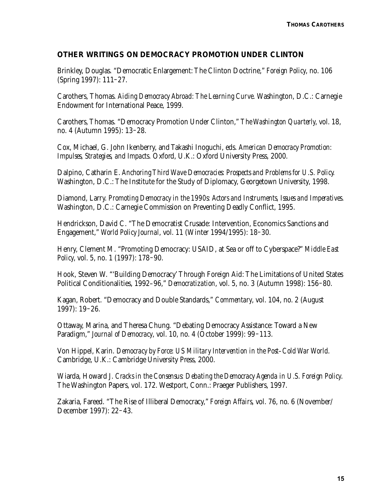## **OTHER WRITINGS ON DEMOCRACY PROMOTION UNDER CLINTON**

Brinkley, Douglas. "Democratic Enlargement: The Clinton Doctrine," *Foreign Policy*, no. 106 (Spring 1997): 111–27.

Carothers, Thomas. *Aiding Democracy Abroad: The Learning Curve*. Washington, D.C.: Carnegie Endowment for International Peace, 1999.

Carothers, Thomas. "Democracy Promotion Under Clinton," *The Washington Quarterly*, vol. 18, no. 4 (Autumn 1995): 13–28.

Cox, Michael, G. John Ikenberry, and Takashi Inoguchi, eds. *American Democracy Promotion: Impulses, Strategies, and Impacts*. Oxford, U.K.: Oxford University Press, 2000.

Dalpino, Catharin E. *Anchoring Third Wave Democracies: Prospects and Problems for U.S. Policy.* Washington, D.C.: The Institute for the Study of Diplomacy, Georgetown University, 1998.

Diamond, Larry. *Promoting Democracy in the 1990s: Actors and Instruments, Issues and Imperatives*. Washington, D.C.: Carnegie Commission on Preventing Deadly Conflict, 1995.

Hendrickson, David C. "The Democratist Crusade: Intervention, Economics Sanctions and Engagement," *World Policy Journal*, vol. 11 (Winter 1994/1995): 18–30.

Henry, Clement M. "Promoting Democracy: USAID, at Sea or off to Cyberspace?" *Middle East Policy*, vol. 5, no. 1 (1997): 178–90.

Hook, Steven W. "'Building Democracy' Through Foreign Aid: The Limitations of United States Political Conditionalities, 1992–96," *Democratization*, vol. 5, no. 3 (Autumn 1998): 156–80.

Kagan, Robert. "Democracy and Double Standards," *Commentary*, vol. 104, no. 2 (August 1997): 19–26.

Ottaway, Marina, and Theresa Chung. "Debating Democracy Assistance: Toward a New Paradigm," *Journal of Democracy*, vol. 10, no. 4 (October 1999): 99–113.

Von Hippel, Karin. *Democracy by Force: US Military Intervention in the Post–Cold War World*. Cambridge, U.K.: Cambridge University Press, 2000.

Wiarda, Howard J. *Cracks in the Consensus: Debating the Democracy Agenda in U.S. Foreign Policy*. The Washington Papers, vol. 172. Westport, Conn.: Praeger Publishers, 1997.

Zakaria, Fareed. "The Rise of Illiberal Democracy," *Foreign Affairs*, vol. 76, no. 6 (November/ December 1997): 22–43.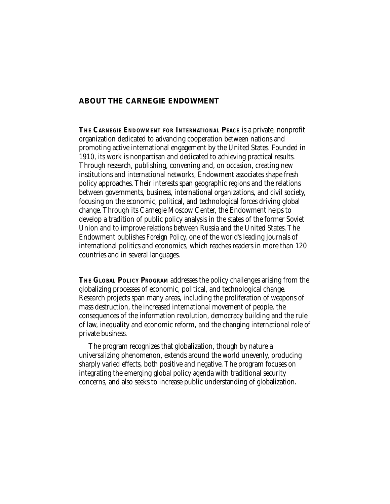## **ABOUT THE CARNEGIE ENDOWMENT**

**THE CARNEGIE ENDOWMENT FOR INTERNATIONAL PEACE** is a private, nonprofit organization dedicated to advancing cooperation between nations and promoting active international engagement by the United States. Founded in 1910, its work is nonpartisan and dedicated to achieving practical results. Through research, publishing, convening and, on occasion, creating new institutions and international networks, Endowment associates shape fresh policy approaches. Their interests span geographic regions and the relations between governments, business, international organizations, and civil society, focusing on the economic, political, and technological forces driving global change. Through its Carnegie Moscow Center, the Endowment helps to develop a tradition of public policy analysis in the states of the former Soviet Union and to improve relations between Russia and the United States. The Endowment publishes *Foreign Policy,* one of the world's leading journals of international politics and economics, which reaches readers in more than 120 countries and in several languages.

**THE GLOBAL POLICY PROGRAM** addresses the policy challenges arising from the globalizing processes of economic, political, and technological change. Research projects span many areas, including the proliferation of weapons of mass destruction, the increased international movement of people, the consequences of the information revolution, democracy building and the rule of law, inequality and economic reform, and the changing international role of private business.

The program recognizes that globalization, though by nature a universalizing phenomenon, extends around the world unevenly, producing sharply varied effects, both positive and negative. The program focuses on integrating the emerging global policy agenda with traditional security concerns, and also seeks to increase public understanding of globalization.